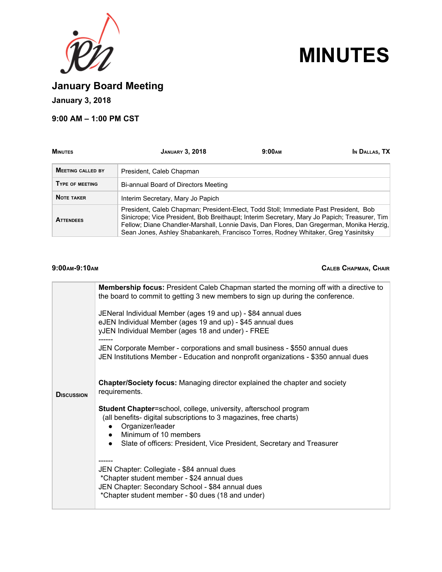



**January Board Meeting**

**January 3, 2018**

# **9:00 AM – 1:00 PM CST**

| <b>MINUTES</b>                                                                                                                                                                                                                                                                                                                                                                             | <b>JANUARY 3, 2018</b>               | 9:00 <sub>AM</sub> | In DALLAS, TX |
|--------------------------------------------------------------------------------------------------------------------------------------------------------------------------------------------------------------------------------------------------------------------------------------------------------------------------------------------------------------------------------------------|--------------------------------------|--------------------|---------------|
| <b>MEETING CALLED BY</b>                                                                                                                                                                                                                                                                                                                                                                   | President, Caleb Chapman             |                    |               |
| TYPE OF MEETING                                                                                                                                                                                                                                                                                                                                                                            | Bi-annual Board of Directors Meeting |                    |               |
| <b>NOTE TAKER</b>                                                                                                                                                                                                                                                                                                                                                                          | Interim Secretary, Mary Jo Papich    |                    |               |
| President, Caleb Chapman; President-Elect, Todd Stoll; Immediate Past President, Bob<br>Sinicrope; Vice President, Bob Breithaupt; Interim Secretary, Mary Jo Papich; Treasurer, Tim<br><b>ATTENDEES</b><br>Fellow; Diane Chandler-Marshall, Lonnie Davis, Dan Flores, Dan Gregerman, Monika Herzig,<br>Sean Jones, Ashley Shabankareh, Francisco Torres, Rodney Whitaker, Greg Yasinitsky |                                      |                    |               |

## **9:00AM-9:10AM CALEB CHAPMAN, CHAIR**

|                   | <b>Membership focus:</b> President Caleb Chapman started the morning off with a directive to<br>the board to commit to getting 3 new members to sign up during the conference.                                                                              |
|-------------------|-------------------------------------------------------------------------------------------------------------------------------------------------------------------------------------------------------------------------------------------------------------|
|                   | JENeral Individual Member (ages 19 and up) - \$84 annual dues<br>eJEN Individual Member (ages 19 and up) - \$45 annual dues<br>yJEN Individual Member (ages 18 and under) - FREE                                                                            |
|                   | JEN Corporate Member - corporations and small business - \$550 annual dues<br>JEN Institutions Member - Education and nonprofit organizations - \$350 annual dues                                                                                           |
| <b>DISCUSSION</b> | <b>Chapter/Society focus:</b> Managing director explained the chapter and society<br>requirements.                                                                                                                                                          |
|                   | Student Chapter=school, college, university, afterschool program<br>(all benefits- digital subscriptions to 3 magazines, free charts)<br>Organizer/leader<br>Minimum of 10 members<br>Slate of officers: President, Vice President, Secretary and Treasurer |
|                   | JEN Chapter: Collegiate - \$84 annual dues<br>*Chapter student member - \$24 annual dues<br>JEN Chapter: Secondary School - \$84 annual dues<br>*Chapter student member - \$0 dues (18 and under)                                                           |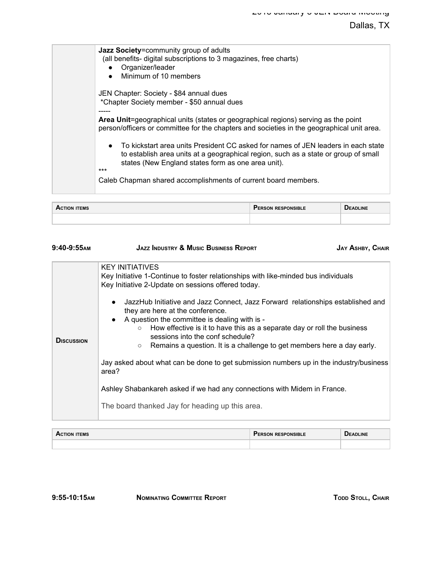# Dallas, TX

| Jazz Society=community group of adults<br>(all benefits-digital subscriptions to 3 magazines, free charts)<br>Organizer/leader<br>Minimum of 10 members<br>$\bullet$                                                                                                                                                 |
|----------------------------------------------------------------------------------------------------------------------------------------------------------------------------------------------------------------------------------------------------------------------------------------------------------------------|
| JEN Chapter: Society - \$84 annual dues<br>*Chapter Society member - \$50 annual dues<br>Area Unit=geographical units (states or geographical regions) serving as the point<br>person/officers or committee for the chapters and societies in the geographical unit area.                                            |
| To kickstart area units President CC asked for names of JEN leaders in each state<br>$\bullet$<br>to establish area units at a geographical region, such as a state or group of small<br>states (New England states form as one area unit).<br>***<br>Caleb Chapman shared accomplishments of current board members. |

| <b>ITEMS</b><br>ACTION | <b>'ERSON RESPONSIBLE</b> | <b>J</b> EADLINE |
|------------------------|---------------------------|------------------|
|                        |                           |                  |

| <b>JAZZ INDUSTRY &amp; MUSIC BUSINESS REPORT</b><br><b>JAY ASHBY, CHAIR</b>                                                                                                                                                                                        |  |
|--------------------------------------------------------------------------------------------------------------------------------------------------------------------------------------------------------------------------------------------------------------------|--|
| <b>KEY INITIATIVES</b><br>Key Initiative 1-Continue to foster relationships with like-minded bus individuals<br>Key Initiative 2-Update on sessions offered today.<br>JazzHub Initiative and Jazz Connect, Jazz Forward relationships established and<br>$\bullet$ |  |
| they are here at the conference.<br>• A question the committee is dealing with is -<br>How effective is it to have this as a separate day or roll the business<br>$\circ$<br>sessions into the conf schedule?                                                      |  |
| Remains a question. It is a challenge to get members here a day early.<br>$\circ$<br>Jay asked about what can be done to get submission numbers up in the industry/business<br>area?                                                                               |  |
| Ashley Shabankareh asked if we had any connections with Midem in France.<br>The board thanked Jay for heading up this area.                                                                                                                                        |  |
|                                                                                                                                                                                                                                                                    |  |

| <b>ITEMS</b><br>A.<br>TION | <b>RESPONSIBLE</b><br><b>ERSON</b> . | <b>ADLINE</b><br> |
|----------------------------|--------------------------------------|-------------------|
|                            |                                      |                   |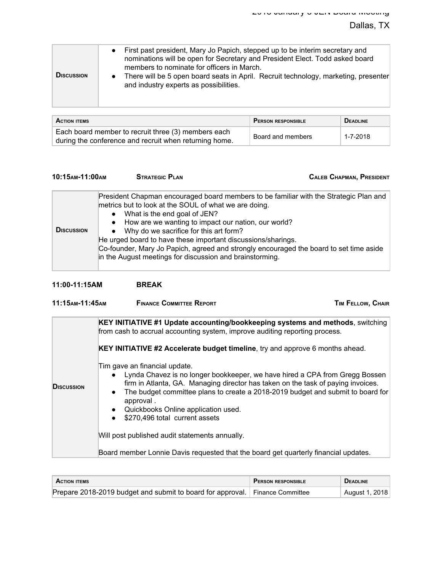| <b>DISCUSSION</b> | • First past president, Mary Jo Papich, stepped up to be interim secretary and<br>nominations will be open for Secretary and President Elect. Todd asked board<br>members to nominate for officers in March.<br>There will be 5 open board seats in April. Recruit technology, marketing, presenter<br>$\bullet$<br>and industry experts as possibilities. |
|-------------------|------------------------------------------------------------------------------------------------------------------------------------------------------------------------------------------------------------------------------------------------------------------------------------------------------------------------------------------------------------|
|-------------------|------------------------------------------------------------------------------------------------------------------------------------------------------------------------------------------------------------------------------------------------------------------------------------------------------------------------------------------------------------|

| <b>ACTION ITEMS</b>                                                                                           | <b>PERSON RESPONSIBLE</b> | <b>DEADLINE</b> |
|---------------------------------------------------------------------------------------------------------------|---------------------------|-----------------|
| Each board member to recruit three (3) members each<br>during the conference and recruit when returning home. | Board and members         | 1-7-2018        |

**10:15 10:15 STRATEGIC PLAN CALEB CHAPMAN, PRESIDENT** 

| <b>DISCUSSION</b> | President Chapman encouraged board members to be familiar with the Strategic Plan and<br>metrics but to look at the SOUL of what we are doing.<br>• What is the end goal of JEN?<br>• How are we wanting to impact our nation, our world?<br>• Why do we sacrifice for this art form?<br>He urged board to have these important discussions/sharings.<br>Co-founder, Mary Jo Papich, agreed and strongly encouraged the board to set time aside<br>in the August meetings for discussion and brainstorming. |
|-------------------|-------------------------------------------------------------------------------------------------------------------------------------------------------------------------------------------------------------------------------------------------------------------------------------------------------------------------------------------------------------------------------------------------------------------------------------------------------------------------------------------------------------|
|-------------------|-------------------------------------------------------------------------------------------------------------------------------------------------------------------------------------------------------------------------------------------------------------------------------------------------------------------------------------------------------------------------------------------------------------------------------------------------------------------------------------------------------------|

| 11:00-11:15AM | <b>BREAK</b> |
|---------------|--------------|
|---------------|--------------|

| 11:15 лм-11:45 дм  | <b>FINANCE COMMITTEE REPORT</b>                                                                                                                                                                                                                                                                                                                                                                                                                                                                                                                                                                                                                               | TIM FELLOW, CHAIR |
|--------------------|---------------------------------------------------------------------------------------------------------------------------------------------------------------------------------------------------------------------------------------------------------------------------------------------------------------------------------------------------------------------------------------------------------------------------------------------------------------------------------------------------------------------------------------------------------------------------------------------------------------------------------------------------------------|-------------------|
| <b>D</b> ISCUSSION | KEY INITIATIVE #1 Update accounting/bookkeeping systems and methods, switching<br>from cash to accrual accounting system, improve auditing reporting process.<br><b>KEY INITIATIVE #2 Accelerate budget timeline</b> , try and approve 6 months ahead.<br>Tim gave an financial update.<br>Lynda Chavez is no longer bookkeeper, we have hired a CPA from Gregg Bossen<br>$\bullet$<br>firm in Atlanta, GA. Managing director has taken on the task of paying invoices.<br>The budget committee plans to create a 2018-2019 budget and submit to board for<br>approval.<br>Quickbooks Online application used.<br>$\bullet$<br>\$270,496 total current assets |                   |
|                    | Will post published audit statements annually.                                                                                                                                                                                                                                                                                                                                                                                                                                                                                                                                                                                                                |                   |
|                    | Board member Lonnie Davis requested that the board get quarterly financial updates.                                                                                                                                                                                                                                                                                                                                                                                                                                                                                                                                                                           |                   |

| <b>ACTION ITEMS</b>                                                          | <b>PERSON RESPONSIBLE</b> | <b>DEADLINE</b> |
|------------------------------------------------------------------------------|---------------------------|-----------------|
| Prepare 2018-2019 budget and submit to board for approval. Finance Committee |                           | August 1, 2018  |